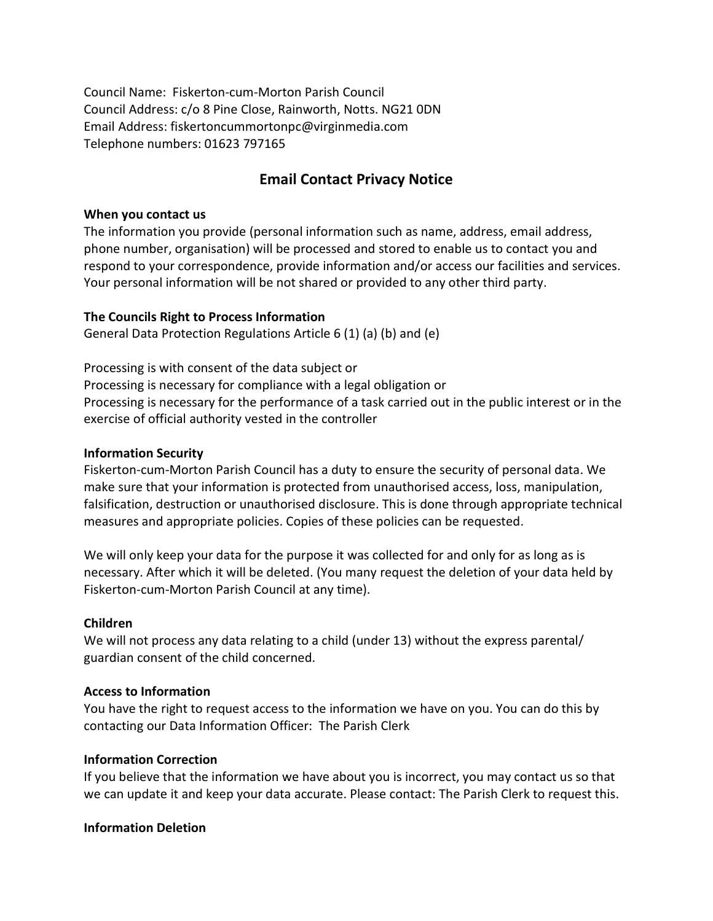Council Name: Fiskerton-cum-Morton Parish Council Council Address: c/o 8 Pine Close, Rainworth, Notts. NG21 0DN Email Address: fiskertoncummortonpc@virginmedia.com Telephone numbers: 01623 797165

# Email Contact Privacy Notice

#### When you contact us

The information you provide (personal information such as name, address, email address, phone number, organisation) will be processed and stored to enable us to contact you and respond to your correspondence, provide information and/or access our facilities and services. Your personal information will be not shared or provided to any other third party.

#### The Councils Right to Process Information

General Data Protection Regulations Article 6 (1) (a) (b) and (e)

Processing is with consent of the data subject or Processing is necessary for compliance with a legal obligation or Processing is necessary for the performance of a task carried out in the public interest or in the exercise of official authority vested in the controller

#### Information Security

Fiskerton-cum-Morton Parish Council has a duty to ensure the security of personal data. We make sure that your information is protected from unauthorised access, loss, manipulation, falsification, destruction or unauthorised disclosure. This is done through appropriate technical measures and appropriate policies. Copies of these policies can be requested.

We will only keep your data for the purpose it was collected for and only for as long as is necessary. After which it will be deleted. (You many request the deletion of your data held by Fiskerton-cum-Morton Parish Council at any time).

#### Children

We will not process any data relating to a child (under 13) without the express parental/ guardian consent of the child concerned.

#### Access to Information

You have the right to request access to the information we have on you. You can do this by contacting our Data Information Officer: The Parish Clerk

#### Information Correction

If you believe that the information we have about you is incorrect, you may contact us so that we can update it and keep your data accurate. Please contact: The Parish Clerk to request this.

#### Information Deletion